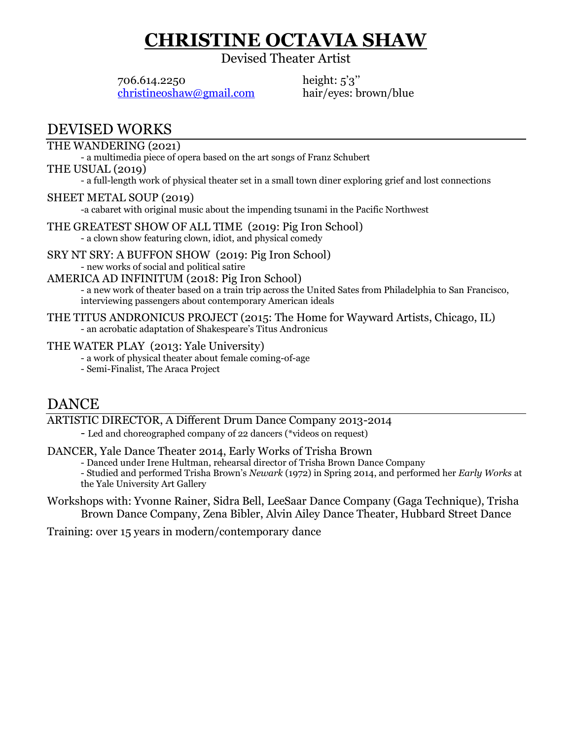# **CHRISTINE OCTAVIA SHAW**

Devised Theater Artist

706.614.2250 [christineoshaw@gmail.com](mailto:christineoshaw@gmail.com)

height: 5'3'' hair/eyes: brown/blue

## DEVISED WORKS

### THE WANDERING (2021)

- a multimedia piece of opera based on the art songs of Franz Schubert

THE USUAL (2019)

- a full-length work of physical theater set in a small town diner exploring grief and lost connections

### SHEET METAL SOUP (2019)

-a cabaret with original music about the impending tsunami in the Pacific Northwest

THE GREATEST SHOW OF ALL TIME (2019: Pig Iron School) - a clown show featuring clown, idiot, and physical comedy

SRY NT SRY: A BUFFON SHOW (2019: Pig Iron School) - new works of social and political satire

#### AMERICA AD INFINITUM (2018: Pig Iron School)

- a new work of theater based on a train trip across the United Sates from Philadelphia to San Francisco, interviewing passengers about contemporary American ideals

#### THE TITUS ANDRONICUS PROJECT (2015: The Home for Wayward Artists, Chicago, IL) - an acrobatic adaptation of Shakespeare's Titus Andronicus

#### THE WATER PLAY (2013: Yale University)

- a work of physical theater about female coming-of-age
- Semi-Finalist, The Araca Project

### DANCE

#### ARTISTIC DIRECTOR, A Different Drum Dance Company 2013-2014

- Led and choreographed company of 22 dancers (\*videos on request)

### DANCER, Yale Dance Theater 2014, Early Works of Trisha Brown

- Danced under Irene Hultman, rehearsal director of Trisha Brown Dance Company

- Studied and performed Trisha Brown's *Newark* (1972) in Spring 2014, and performed her *Early Works* at the Yale University Art Gallery

Workshops with: Yvonne Rainer, Sidra Bell, LeeSaar Dance Company (Gaga Technique), Trisha Brown Dance Company, Zena Bibler, Alvin Ailey Dance Theater, Hubbard Street Dance

Training: over 15 years in modern/contemporary dance